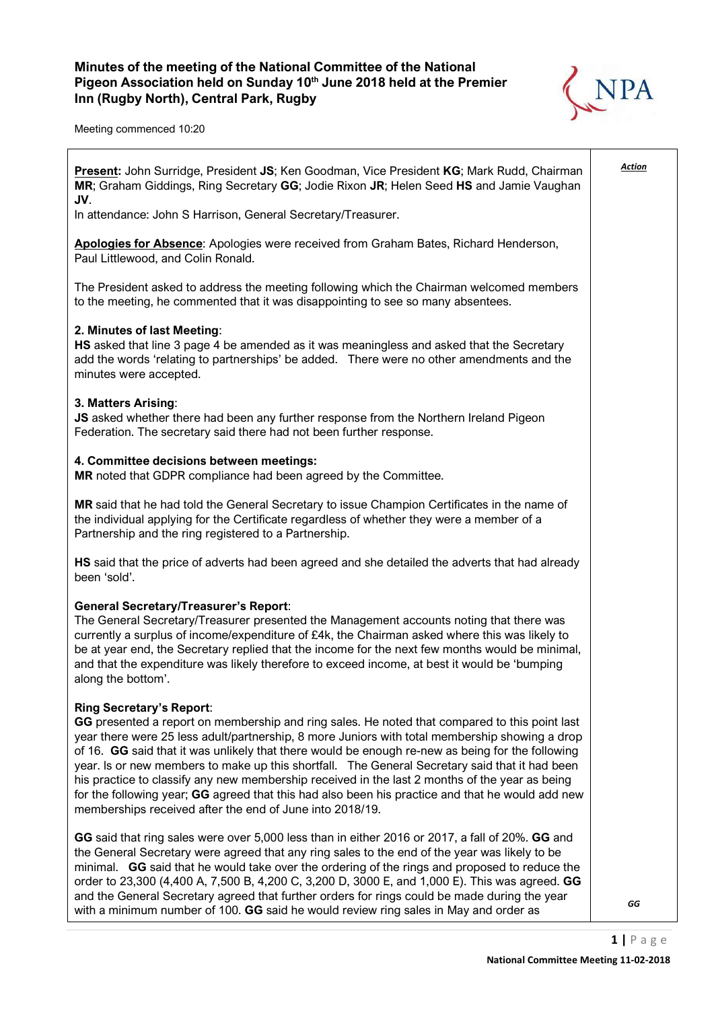## Minutes of the meeting of the National Committee of the National Pigeon Association held on Sunday 10<sup>th</sup> June 2018 held at the Premier Inn (Rugby North), Central Park, Rugby



Meeting commenced 10:20

| <b>Present:</b> John Surridge, President JS; Ken Goodman, Vice President KG; Mark Rudd, Chairman<br>MR; Graham Giddings, Ring Secretary GG; Jodie Rixon JR; Helen Seed HS and Jamie Vaughan<br>JV.                                                                                                                                                                                                                                                                                                                                                                                                                                                                                                         | <u>Action</u> |
|------------------------------------------------------------------------------------------------------------------------------------------------------------------------------------------------------------------------------------------------------------------------------------------------------------------------------------------------------------------------------------------------------------------------------------------------------------------------------------------------------------------------------------------------------------------------------------------------------------------------------------------------------------------------------------------------------------|---------------|
| In attendance: John S Harrison, General Secretary/Treasurer.                                                                                                                                                                                                                                                                                                                                                                                                                                                                                                                                                                                                                                               |               |
| Apologies for Absence: Apologies were received from Graham Bates, Richard Henderson,<br>Paul Littlewood, and Colin Ronald.                                                                                                                                                                                                                                                                                                                                                                                                                                                                                                                                                                                 |               |
| The President asked to address the meeting following which the Chairman welcomed members<br>to the meeting, he commented that it was disappointing to see so many absentees.                                                                                                                                                                                                                                                                                                                                                                                                                                                                                                                               |               |
| 2. Minutes of last Meeting:<br>HS asked that line 3 page 4 be amended as it was meaningless and asked that the Secretary<br>add the words 'relating to partnerships' be added. There were no other amendments and the<br>minutes were accepted.                                                                                                                                                                                                                                                                                                                                                                                                                                                            |               |
| 3. Matters Arising:<br>JS asked whether there had been any further response from the Northern Ireland Pigeon<br>Federation. The secretary said there had not been further response.                                                                                                                                                                                                                                                                                                                                                                                                                                                                                                                        |               |
| 4. Committee decisions between meetings:<br>MR noted that GDPR compliance had been agreed by the Committee.                                                                                                                                                                                                                                                                                                                                                                                                                                                                                                                                                                                                |               |
| MR said that he had told the General Secretary to issue Champion Certificates in the name of<br>the individual applying for the Certificate regardless of whether they were a member of a<br>Partnership and the ring registered to a Partnership.                                                                                                                                                                                                                                                                                                                                                                                                                                                         |               |
| HS said that the price of adverts had been agreed and she detailed the adverts that had already<br>been 'sold'.                                                                                                                                                                                                                                                                                                                                                                                                                                                                                                                                                                                            |               |
| <b>General Secretary/Treasurer's Report:</b><br>The General Secretary/Treasurer presented the Management accounts noting that there was<br>currently a surplus of income/expenditure of £4k, the Chairman asked where this was likely to<br>be at year end, the Secretary replied that the income for the next few months would be minimal,<br>and that the expenditure was likely therefore to exceed income, at best it would be 'bumping<br>along the bottom'.                                                                                                                                                                                                                                          |               |
| <b>Ring Secretary's Report:</b><br>GG presented a report on membership and ring sales. He noted that compared to this point last<br>year there were 25 less adult/partnership, 8 more Juniors with total membership showing a drop<br>of 16. GG said that it was unlikely that there would be enough re-new as being for the following<br>year. Is or new members to make up this shortfall. The General Secretary said that it had been<br>his practice to classify any new membership received in the last 2 months of the year as being<br>for the following year; GG agreed that this had also been his practice and that he would add new<br>memberships received after the end of June into 2018/19. |               |
| GG said that ring sales were over 5,000 less than in either 2016 or 2017, a fall of 20%. GG and<br>the General Secretary were agreed that any ring sales to the end of the year was likely to be<br>minimal. GG said that he would take over the ordering of the rings and proposed to reduce the<br>order to 23,300 (4,400 A, 7,500 B, 4,200 C, 3,200 D, 3000 E, and 1,000 E). This was agreed. GG<br>and the General Secretary agreed that further orders for rings could be made during the year<br>with a minimum number of 100. GG said he would review ring sales in May and order as                                                                                                                | GG            |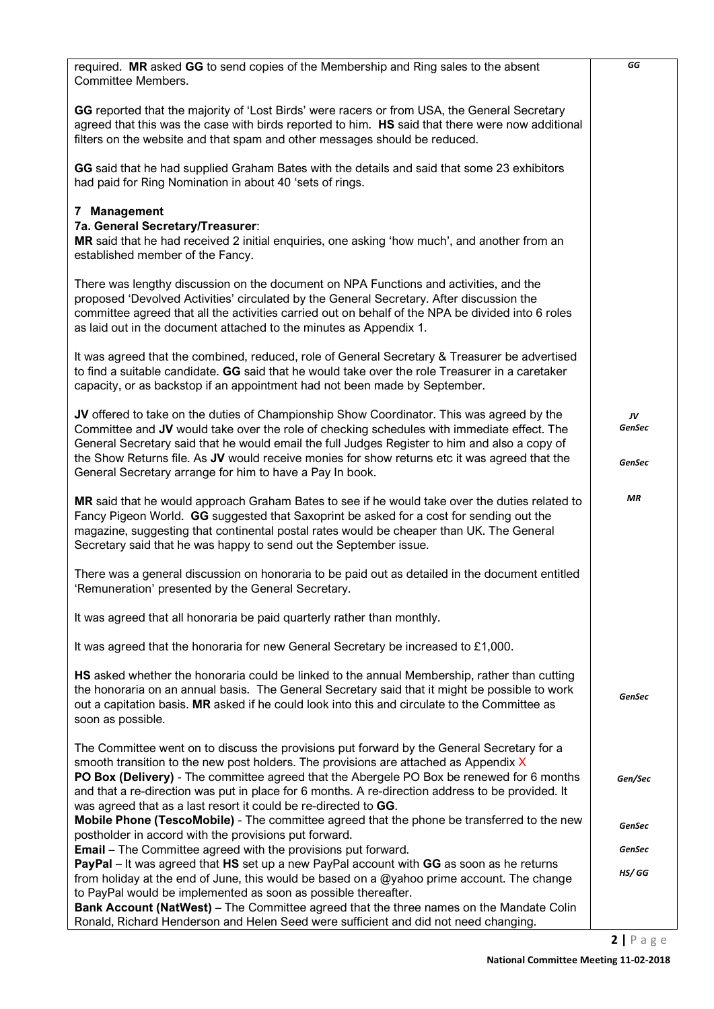| required. MR asked GG to send copies of the Membership and Ring sales to the absent<br>Committee Members.                                                                                                                                                                                                                                                                                                                                              | GG                     |
|--------------------------------------------------------------------------------------------------------------------------------------------------------------------------------------------------------------------------------------------------------------------------------------------------------------------------------------------------------------------------------------------------------------------------------------------------------|------------------------|
| GG reported that the majority of 'Lost Birds' were racers or from USA, the General Secretary<br>agreed that this was the case with birds reported to him. HS said that there were now additional<br>filters on the website and that spam and other messages should be reduced.                                                                                                                                                                         |                        |
| GG said that he had supplied Graham Bates with the details and said that some 23 exhibitors<br>had paid for Ring Nomination in about 40 'sets of rings.                                                                                                                                                                                                                                                                                                |                        |
| 7 Management<br>7a. General Secretary/Treasurer:<br>MR said that he had received 2 initial enquiries, one asking 'how much', and another from an<br>established member of the Fancy.                                                                                                                                                                                                                                                                   |                        |
| There was lengthy discussion on the document on NPA Functions and activities, and the<br>proposed 'Devolved Activities' circulated by the General Secretary. After discussion the<br>committee agreed that all the activities carried out on behalf of the NPA be divided into 6 roles<br>as laid out in the document attached to the minutes as Appendix 1.                                                                                           |                        |
| It was agreed that the combined, reduced, role of General Secretary & Treasurer be advertised<br>to find a suitable candidate. GG said that he would take over the role Treasurer in a caretaker<br>capacity, or as backstop if an appointment had not been made by September.                                                                                                                                                                         |                        |
| JV offered to take on the duties of Championship Show Coordinator. This was agreed by the<br>Committee and JV would take over the role of checking schedules with immediate effect. The<br>General Secretary said that he would email the full Judges Register to him and also a copy of<br>the Show Returns file. As JV would receive monies for show returns etc it was agreed that the<br>General Secretary arrange for him to have a Pay In book.  | JV<br>GenSec<br>GenSec |
| MR said that he would approach Graham Bates to see if he would take over the duties related to<br>Fancy Pigeon World. GG suggested that Saxoprint be asked for a cost for sending out the<br>magazine, suggesting that continental postal rates would be cheaper than UK. The General<br>Secretary said that he was happy to send out the September issue.                                                                                             | <b>MR</b>              |
| There was a general discussion on honoraria to be paid out as detailed in the document entitled<br>'Remuneration' presented by the General Secretary.                                                                                                                                                                                                                                                                                                  |                        |
| It was agreed that all honoraria be paid quarterly rather than monthly.                                                                                                                                                                                                                                                                                                                                                                                |                        |
| It was agreed that the honoraria for new General Secretary be increased to £1,000.                                                                                                                                                                                                                                                                                                                                                                     |                        |
| HS asked whether the honoraria could be linked to the annual Membership, rather than cutting<br>the honoraria on an annual basis. The General Secretary said that it might be possible to work<br>out a capitation basis. MR asked if he could look into this and circulate to the Committee as<br>soon as possible.                                                                                                                                   | GenSec                 |
| The Committee went on to discuss the provisions put forward by the General Secretary for a<br>smooth transition to the new post holders. The provisions are attached as Appendix X<br>PO Box (Delivery) - The committee agreed that the Abergele PO Box be renewed for 6 months<br>and that a re-direction was put in place for 6 months. A re-direction address to be provided. It<br>was agreed that as a last resort it could be re-directed to GG. | Gen/Sec                |
| <b>Mobile Phone (TescoMobile)</b> - The committee agreed that the phone be transferred to the new<br>postholder in accord with the provisions put forward.                                                                                                                                                                                                                                                                                             | <b>GenSec</b>          |
| <b>Email</b> – The Committee agreed with the provisions put forward.<br>PayPal – It was agreed that HS set up a new PayPal account with GG as soon as he returns                                                                                                                                                                                                                                                                                       | GenSec                 |
| from holiday at the end of June, this would be based on a @yahoo prime account. The change<br>to PayPal would be implemented as soon as possible thereafter.<br><b>Bank Account (NatWest)</b> – The Committee agreed that the three names on the Mandate Colin<br>Ronald, Richard Henderson and Helen Seed were sufficient and did not need changing.                                                                                                  | HS/ GG                 |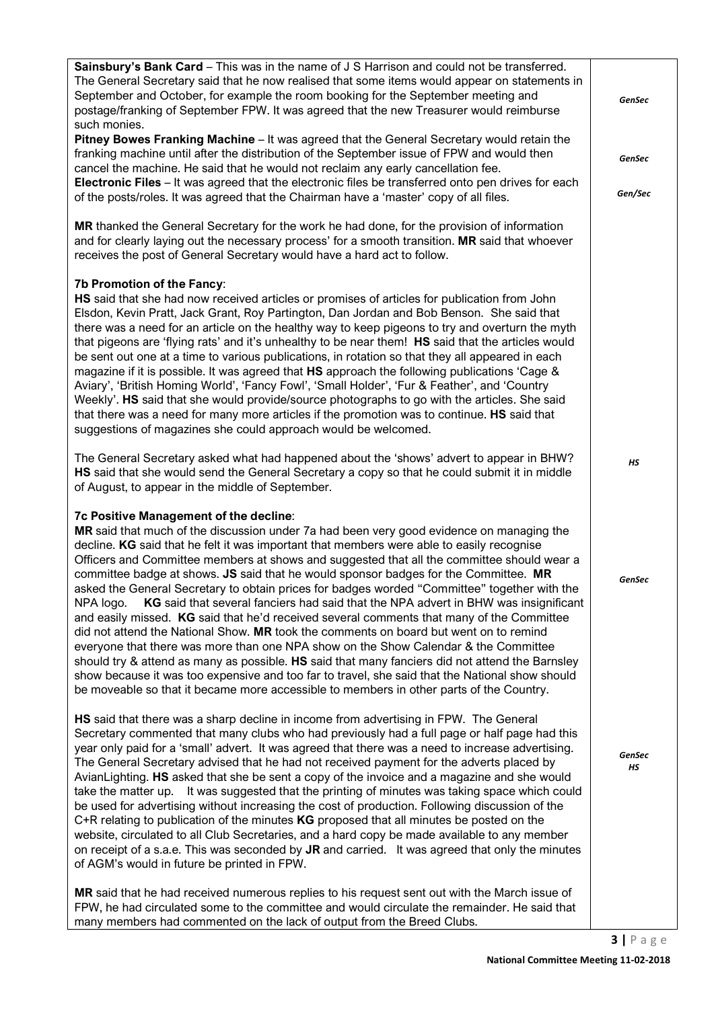| Sainsbury's Bank Card - This was in the name of J S Harrison and could not be transferred.<br>The General Secretary said that he now realised that some items would appear on statements in<br>September and October, for example the room booking for the September meeting and<br>postage/franking of September FPW. It was agreed that the new Treasurer would reimburse<br>such monies.                                                                                                                                                                                                                                                                                                                                                                                                                                                                                                                                                                                                                                                                                                                                                                                                          | <b>GenSec</b>       |
|------------------------------------------------------------------------------------------------------------------------------------------------------------------------------------------------------------------------------------------------------------------------------------------------------------------------------------------------------------------------------------------------------------------------------------------------------------------------------------------------------------------------------------------------------------------------------------------------------------------------------------------------------------------------------------------------------------------------------------------------------------------------------------------------------------------------------------------------------------------------------------------------------------------------------------------------------------------------------------------------------------------------------------------------------------------------------------------------------------------------------------------------------------------------------------------------------|---------------------|
| Pitney Bowes Franking Machine - It was agreed that the General Secretary would retain the<br>franking machine until after the distribution of the September issue of FPW and would then<br>cancel the machine. He said that he would not reclaim any early cancellation fee.                                                                                                                                                                                                                                                                                                                                                                                                                                                                                                                                                                                                                                                                                                                                                                                                                                                                                                                         | <b>GenSec</b>       |
| Electronic Files - It was agreed that the electronic files be transferred onto pen drives for each<br>of the posts/roles. It was agreed that the Chairman have a 'master' copy of all files.                                                                                                                                                                                                                                                                                                                                                                                                                                                                                                                                                                                                                                                                                                                                                                                                                                                                                                                                                                                                         | Gen/Sec             |
| MR thanked the General Secretary for the work he had done, for the provision of information<br>and for clearly laying out the necessary process' for a smooth transition. MR said that whoever<br>receives the post of General Secretary would have a hard act to follow.                                                                                                                                                                                                                                                                                                                                                                                                                                                                                                                                                                                                                                                                                                                                                                                                                                                                                                                            |                     |
| 7b Promotion of the Fancy:<br>HS said that she had now received articles or promises of articles for publication from John<br>Elsdon, Kevin Pratt, Jack Grant, Roy Partington, Dan Jordan and Bob Benson. She said that<br>there was a need for an article on the healthy way to keep pigeons to try and overturn the myth<br>that pigeons are 'flying rats' and it's unhealthy to be near them! HS said that the articles would<br>be sent out one at a time to various publications, in rotation so that they all appeared in each<br>magazine if it is possible. It was agreed that HS approach the following publications 'Cage &<br>Aviary', 'British Homing World', 'Fancy Fowl', 'Small Holder', 'Fur & Feather', and 'Country<br>Weekly'. HS said that she would provide/source photographs to go with the articles. She said<br>that there was a need for many more articles if the promotion was to continue. HS said that<br>suggestions of magazines she could approach would be welcomed.                                                                                                                                                                                               |                     |
| The General Secretary asked what had happened about the 'shows' advert to appear in BHW?<br>HS said that she would send the General Secretary a copy so that he could submit it in middle<br>of August, to appear in the middle of September.                                                                                                                                                                                                                                                                                                                                                                                                                                                                                                                                                                                                                                                                                                                                                                                                                                                                                                                                                        | HS                  |
| 7c Positive Management of the decline:<br>MR said that much of the discussion under 7a had been very good evidence on managing the<br>decline. KG said that he felt it was important that members were able to easily recognise<br>Officers and Committee members at shows and suggested that all the committee should wear a<br>committee badge at shows. JS said that he would sponsor badges for the Committee. MR<br>asked the General Secretary to obtain prices for badges worded "Committee" together with the<br>NPA logo. KG said that several fanciers had said that the NPA advert in BHW was insignificant<br>and easily missed. KG said that he'd received several comments that many of the Committee<br>did not attend the National Show. MR took the comments on board but went on to remind<br>everyone that there was more than one NPA show on the Show Calendar & the Committee<br>should try & attend as many as possible. HS said that many fanciers did not attend the Barnsley<br>show because it was too expensive and too far to travel, she said that the National show should<br>be moveable so that it became more accessible to members in other parts of the Country. | <b>GenSec</b>       |
| HS said that there was a sharp decline in income from advertising in FPW. The General<br>Secretary commented that many clubs who had previously had a full page or half page had this<br>year only paid for a 'small' advert. It was agreed that there was a need to increase advertising.<br>The General Secretary advised that he had not received payment for the adverts placed by<br>AvianLighting. HS asked that she be sent a copy of the invoice and a magazine and she would<br>take the matter up. It was suggested that the printing of minutes was taking space which could<br>be used for advertising without increasing the cost of production. Following discussion of the<br>C+R relating to publication of the minutes KG proposed that all minutes be posted on the<br>website, circulated to all Club Secretaries, and a hard copy be made available to any member<br>on receipt of a s.a.e. This was seconded by JR and carried. It was agreed that only the minutes<br>of AGM's would in future be printed in FPW.<br>MR said that he had received numerous replies to his request sent out with the March issue of                                                             | <b>GenSec</b><br>НS |
| FPW, he had circulated some to the committee and would circulate the remainder. He said that<br>many members had commented on the lack of output from the Breed Clubs.                                                                                                                                                                                                                                                                                                                                                                                                                                                                                                                                                                                                                                                                                                                                                                                                                                                                                                                                                                                                                               |                     |